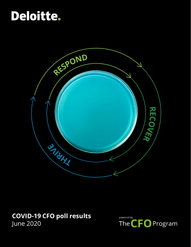# Deloitte.



### **COVID-19 CFO poll results** June 2020

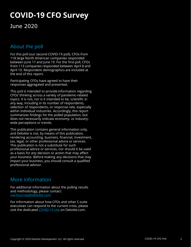### **COVID-19 CFO Survey**

### June 2020

### About the poll

For this poll (our second COVID-19 poll), CFOs from 118 large North American companies responded between June 17 and June 19. For the first poll, CFOs from 113 companies responded between April 8 and April 10. Respondent demographics are included at the end of this report.

Participating CFOs have agreed to have their responses aggregated and presented.

This poll is intended to provide information regarding CFOs' thinking across a variety of pandemic-related topics. It is not, nor is it intended to be, scientific in any way, including in its number of respondents, selection of respondents, or response rate, especially within individual industries. Accordingly, this report summarizes findings for the polled population, but does not necessarily indicate economy- or industrywide perceptions or trends.

This publication contains general information only, and Deloitte is not, by means of this publication, rendering accounting, business, financial, investment, tax, legal, or other professional advice or services. This publication is not a substitute for such professional advice or services, nor should it be used as a basis for any decision or action that may affect your business. Before making any decisions that may impact your business, you should consult a qualified professional advisor.

### More information

For additional information about the polling results and methodology, please contact: [nacfosurvey@deloitte.com.](mailto:nacfosurvey@deloitte.com)

For information about how CFOs and other C-suite executives can respond to the current crisis, please visit the dedicated [COVID-19 site](https://www2.deloitte.com/global/en/pages/about-deloitte/topics/combating-covid-19-with-resilience.html) on Deloitte.com.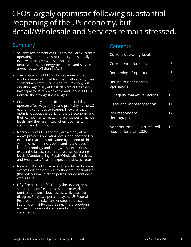### CFOs largely optimistic following substantial reopening of the US economy, but Retail/Wholesale and Services remain stressed.

### Summary

- Seventy-two percent of CFOs say they are currently operating at or above 80% capacity—essentially even with the 73% who said so in April. Retail/Wholesale, Energy/Resources, and Services appear better off than in April.
- The proportion of CFOs who say none of their workers are working at less than half capacity rose substantially from 26% in April to 37% now, but one-third again say at least 20% are at less than half capacity. Retail/Wholesale and Services CFOs indicate the strongest challenges.
- CFOs are mostly optimistic about their ability to operate effectively, safely, and profitably as the US economy continues to reopen. They are least optimistic about the ability of the US economy and their companies to reattain pre-crisis performance levels, and they are mixed when it comes to staffing and liquidity.
- Nearly 20% of CFOs say they are already at or above pre-crisis operating levels, and another 12% expect to reach this milestone by the end of this year. Just over half say 2021, and 17% say 2022 or later. Technology and Energy/Resources CFOs expect the fastest return to pre-crisis operating levels; Manufacturing, Retail/Wholesale, Services, and Healthcare/Pharma expect the slowest return.
- Nearly 70% of CFOs believe US equity markets are overvalued, and only 6% say they are undervalued (the S&P 500 value at the polling period midpoint was 3,115 ).
- Fifty-five percent of CFOs say the US Congress should provide further assistance to workers, families, and small businesses, while just 19% disagree. Forty-two percent say the US Federal Reserve should take further steps to bolster liquidity, with 24% disagreeing. The proportions expressing a neutral view were high for both statements.

#### Contents

| <b>Current operating levels</b>                      | 4  |
|------------------------------------------------------|----|
| Current workforce levels                             | 5  |
| Reopening of operations                              | 6  |
| <b>Return to near-normal</b><br>operations           | 9  |
| US equity market valuations                          | 10 |
| Fiscal and monetary action                           | 11 |
| Poll respondent<br>demographics                      | 12 |
| Addendum: CFO Forums Poll<br>results (June 23, 2020) | 13 |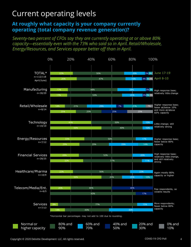### Current operating levels

### **At roughly what capacity is your company currently operating (total company revenue generation)?**

#### *Seventy-two percent of CFOs say they are currently operating at or above 80% capacity—essentially even with the 73% who said so in April. Retail/Wholesale, Energy/Resources, and Services appear better off than in April.*

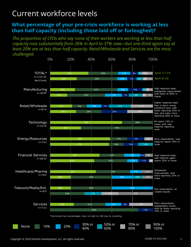### Current workforce levels

### **What percentage of your pre-crisis workforce is working at less than half capacity (including those laid off or furloughed)?**

*The proportion of CFOs who say none of their workers are working at less than half capacity rose substantially from 26% in April to 37% now—but one-third again say at least 20% are at less than half capacity. Retail/Wholesale and Services are the most challenged.*

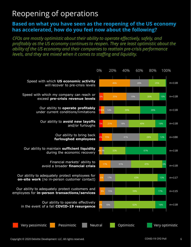## Reopening of operations

### **Based on what you have seen as the reopening of the US economy has accelerated, how do you feel now about the following?**

*CFOs are mostly optimistic about their ability to operate effectively, safely, and profitably as the US economy continues to reopen. They are least optimistic about the ability of the US economy and their companies to reattain pre-crisis performance levels, and they are mixed when it comes to staffing and liquidity.*

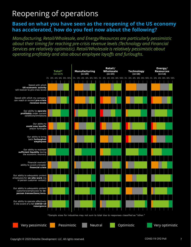## Reopening of operations

#### **Based on what you have seen as the reopening of the US economy has accelerated, how do you feel now about the following?**

*Manufacturing, Retail/Wholesale, and Energy/Resources are particularly pessimistic about their timing for reaching pre-crisis revenue levels (Technology and Financial Services are relatively optimistic). Retail/Wholesale is relatively pessimistic about operating profitably and also about employee layoffs and furloughs.*

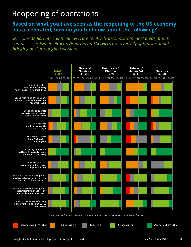## Reopening of operations

### **Based on what you have seen as the reopening of the US economy has accelerated, how do you feel now about the following?**

*Telecom/Media/Entertainment CFOs are relatively pessimistic in most areas, but the sample size is low. Healthcare/Pharma and Services are relatively optimistic about bringing back furloughed workers.*

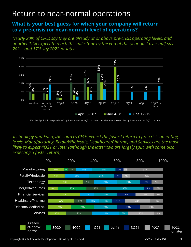### Return to near-normal operations

#### **What is your best guess for when your company will return to a pre-crisis (or near-normal) level of operations?**

*Nearly 20% of CFOs say they are already at or above pre-crisis operating levels, and another 12% expect to reach this milestone by the end of this year. Just over half say 2021, and 17% say 2022 or later.*



\* For the April poll, respondents' options ended at 1Q21 or later; for the May survey, the options ended at 2Q21 or later.

*Technology and Energy/Resources CFOs expect the fastest return to pre-crisis operating levels. Manufacturing, Retail/Wholesale, Healthcare/Pharma, and Services are the most likely to expect 4Q21 or later (although the latter two are largely split, with some also expecting a faster return).*



Copyright © 2020 Deloitte Development LLC. All rights reserved.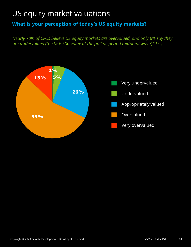### US equity market valuations

### **What is your perception of today's US equity markets?**

*Nearly 70% of CFOs believe US equity markets are overvalued, and only 6% say they are undervalued (the S&P 500 value at the polling period midpoint was 3,115 ).*

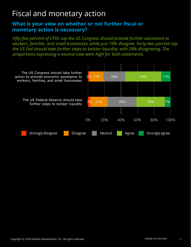## Fiscal and monetary action

#### **What is your view on whether or not further fiscal or monetary action is necessary?**

*Fifty-five percent of CFOs say the US Congress should provide further assistance to workers, families, and small businesses, while just 19% disagree. Forty-two percent say the US Fed should take further steps to bolster liquidity, with 24% disagreeing. The proportions expressing a neutral view were high for both statements.*

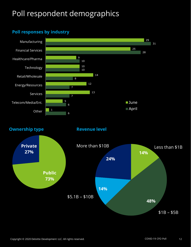# Poll respondent demographics

### **Poll responses by industry**



**Ownership type**

**Revenue level** 

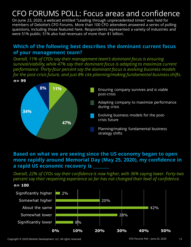## CFO FORUMS POLL: Focus areas and confidence

On June 23, 2020, a webcast entitled "Leading through unprecedented times" was held for members of Deloitte's CFO Forums. More than 100 CFO attendees answered a series of polling questions, including those featured here. Respondents represented a variety of industries and were 51% public; 51% also had revenues of more than \$1 billion.

### **Which of the following best describes the dominant current focus of your management team?**

*Overall, 11% of CFOs say their management team's dominant focus is ensuring survival/viability, while 47% say their dominant focus is adapting to maximize current performance. Thirty-four percent say the dominant focus is evolving business models for the post-crisis future, and just 8% cite planning/making fundamental business shifts.*



#### **Based on what we are seeing since the US economy began to open more rapidly around Memorial Day (May 25, 2020), my confidence in a rapid US economic recovery is \_\_\_\_\_\_\_\_**

*Overall, 22% of CFOs say their confidence is now higher, with 36% saying lower. Forty-two percent say their reopening experience so far has not changed their level of confidence.*

#### **n= 100**